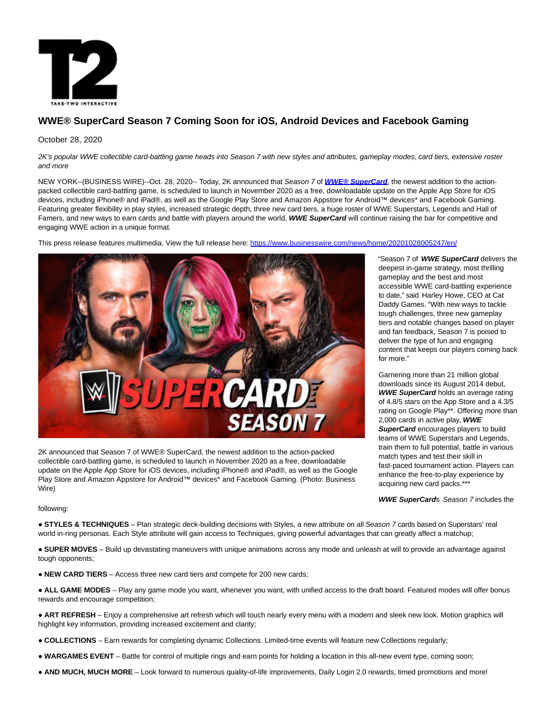

# **WWE® SuperCard Season 7 Coming Soon for iOS, Android Devices and Facebook Gaming**

### October 28, 2020

2K's popular WWE collectible card-battling game heads into Season 7 with new styles and attributes, gameplay modes, card tiers, extensive roster and more

NEW YORK--(BUSINESS WIRE)--Oct. 28, 2020-- Today, 2K announced that Season 7 of **[WWE® SuperCard](https://cts.businesswire.com/ct/CT?id=smartlink&url=https%3A%2F%2Fapp.adjust.com%2Ftxh9a8q&esheet=52315228&newsitemid=20201028005247&lan=en-US&anchor=WWE%26%23174%3B+SuperCard&index=1&md5=5bc94534494cc7d6f1c7bd216b9c2530)**, the newest addition to the actionpacked collectible card-battling game, is scheduled to launch in November 2020 as a free, downloadable update on the Apple App Store for iOS devices, including iPhone® and iPad®, as well as the Google Play Store and Amazon Appstore for Android™ devices\* and Facebook Gaming. Featuring greater flexibility in play styles, increased strategic depth, three new card tiers, a huge roster of WWE Superstars, Legends and Hall of Famers, and new ways to earn cards and battle with players around the world, **WWE SuperCard** will continue raising the bar for competitive and engaging WWE action in a unique format.

This press release features multimedia. View the full release here:<https://www.businesswire.com/news/home/20201028005247/en/>



2K announced that Season 7 of WWE® SuperCard, the newest addition to the action-packed collectible card-battling game, is scheduled to launch in November 2020 as a free, downloadable update on the Apple App Store for iOS devices, including iPhone® and iPad®, as well as the Google Play Store and Amazon Appstore for Android™ devices\* and Facebook Gaming. (Photo: Business Wire)

"Season 7 of **WWE SuperCard** delivers the deepest in-game strategy, most thrilling gameplay and the best and most accessible WWE card-battling experience to date," said Harley Howe, CEO at Cat Daddy Games. "With new ways to tackle tough challenges, three new gameplay tiers and notable changes based on player and fan feedback, Season 7 is poised to deliver the type of fun and engaging content that keeps our players coming back for more."

Garnering more than 21 million global downloads since its August 2014 debut, **WWE SuperCard** holds an average rating of 4.8/5 stars on the App Store and a 4.3/5 rating on Google Play\*\*. Offering more than 2,000 cards in active play, **WWE SuperCard** encourages players to build teams of WWE Superstars and Legends, train them to full potential, battle in various match types and test their skill in fast-paced tournament action. Players can enhance the free-to-play experience by acquiring new card packs.\*\*\*

**WWE SuperCards** Season 7 includes the

## following:

● **STYLES & TECHNIQUES** – Plan strategic deck-building decisions with Styles, a new attribute on all Season 7 cards based on Superstars' real world in-ring personas. Each Style attribute will gain access to Techniques, giving powerful advantages that can greatly affect a matchup;

● **SUPER MOVES** – Build up devastating maneuvers with unique animations across any mode and unleash at will to provide an advantage against tough opponents;

• **NEW CARD TIERS** – Access three new card tiers and compete for 200 new cards;

• ALL GAME MODES – Play any game mode you want, whenever you want, with unified access to the draft board. Featured modes will offer bonus rewards and encourage competition;

● **ART REFRESH** – Enjoy a comprehensive art refresh which will touch nearly every menu with a modern and sleek new look. Motion graphics will highlight key information, providing increased excitement and clarity;

- **COLLECTIONS**  Earn rewards for completing dynamic Collections. Limited-time events will feature new Collections regularly;
- **WARGAMES EVENT**  Battle for control of multiple rings and earn points for holding a location in this all-new event type, coming soon;
- **AND MUCH, MUCH MORE**  Look forward to numerous quality-of-life improvements, Daily Login 2.0 rewards, timed promotions and more!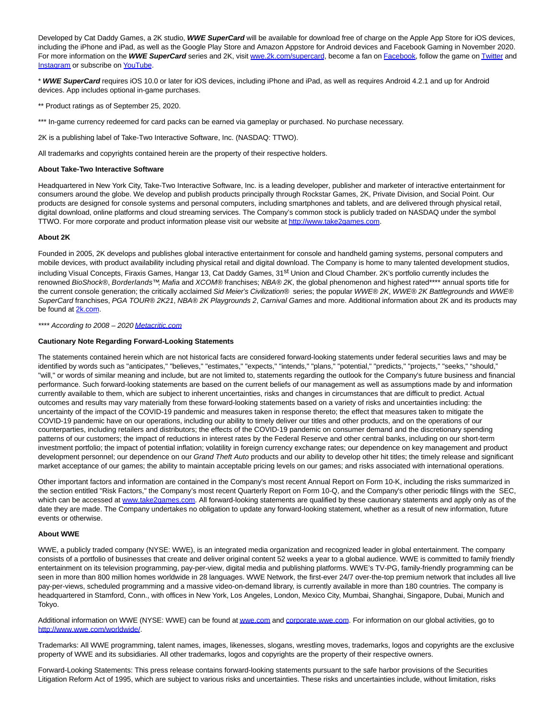Developed by Cat Daddy Games, a 2K studio, **WWE SuperCard** will be available for download free of charge on the Apple App Store for iOS devices, including the iPhone and iPad, as well as the Google Play Store and Amazon Appstore for Android devices and Facebook Gaming in November 2020. For more information on the WWE SuperCard series and 2K, visit [wwe.2k.com/supercard,](https://cts.businesswire.com/ct/CT?id=smartlink&url=https%3A%2F%2Fwwe.2k.com%2Fsupercard%2F&esheet=52315228&newsitemid=20201028005247&lan=en-US&anchor=wwe.2k.com%2Fsupercard&index=2&md5=34cb01f22e3088b3007cf1ef57b128f4) become a fan on [Facebook,](https://cts.businesswire.com/ct/CT?id=smartlink&url=http%3A%2F%2Fwww.facebook.com%2Fofficialwwesupercard&esheet=52315228&newsitemid=20201028005247&lan=en-US&anchor=Facebook&index=3&md5=3a7df079fda22c97aeb6dbadbe84071f) follow the game o[n Twitter a](https://cts.businesswire.com/ct/CT?id=smartlink&url=http%3A%2F%2Fwww.twitter.com%2FWWESuperCard&esheet=52315228&newsitemid=20201028005247&lan=en-US&anchor=Twitter&index=4&md5=3c6558ee01f246e17af198ac9f016a63)nd [Instagram o](https://cts.businesswire.com/ct/CT?id=smartlink&url=https%3A%2F%2Fwww.instagram.com%2Fwwesupercard%2F&esheet=52315228&newsitemid=20201028005247&lan=en-US&anchor=Instagram&index=5&md5=f357f9d29fe443c7800937bee072350d)r subscribe on [YouTube.](https://cts.businesswire.com/ct/CT?id=smartlink&url=http%3A%2F%2Fwww.youtube.com%2Fwwe2k&esheet=52315228&newsitemid=20201028005247&lan=en-US&anchor=YouTube&index=6&md5=190193b1d6a5b086f045f5da23ce9ffa)

\* **WWE SuperCard** requires iOS 10.0 or later for iOS devices, including iPhone and iPad, as well as requires Android 4.2.1 and up for Android devices. App includes optional in-game purchases.

\*\* Product ratings as of September 25, 2020.

\*\*\* In-game currency redeemed for card packs can be earned via gameplay or purchased. No purchase necessary.

2K is a publishing label of Take-Two Interactive Software, Inc. (NASDAQ: TTWO).

All trademarks and copyrights contained herein are the property of their respective holders.

#### **About Take-Two Interactive Software**

Headquartered in New York City, Take-Two Interactive Software, Inc. is a leading developer, publisher and marketer of interactive entertainment for consumers around the globe. We develop and publish products principally through Rockstar Games, 2K, Private Division, and Social Point. Our products are designed for console systems and personal computers, including smartphones and tablets, and are delivered through physical retail, digital download, online platforms and cloud streaming services. The Company's common stock is publicly traded on NASDAQ under the symbol TTWO. For more corporate and product information please visit our website a[t http://www.take2games.com.](https://cts.businesswire.com/ct/CT?id=smartlink&url=http%3A%2F%2Fwww.take2games.com&esheet=52315228&newsitemid=20201028005247&lan=en-US&anchor=http%3A%2F%2Fwww.take2games.com&index=7&md5=0ab36c797417183df80780cbc9790afe)

#### **About 2K**

Founded in 2005, 2K develops and publishes global interactive entertainment for console and handheld gaming systems, personal computers and mobile devices, with product availability including physical retail and digital download. The Company is home to many talented development studios, including Visual Concepts, Firaxis Games, Hangar 13, Cat Daddy Games, 31<sup>st</sup> Union and Cloud Chamber. 2K's portfolio currently includes the renowned BioShock®, Borderlands™, Mafia and XCOM® franchises; NBA® 2K, the global phenomenon and highest rated\*\*\*\* annual sports title for the current console generation; the critically acclaimed Sid Meier's Civilization® series; the popular WWE® 2K, WWE® 2K Battlegrounds and WWE® SuperCard franchises, PGA TOUR® 2K21, NBA® 2K Playgrounds 2, Carnival Games and more. Additional information about 2K and its products may be found at [2k.com.](https://cts.businesswire.com/ct/CT?id=smartlink&url=http%3A%2F%2Fwww.2k.com%2F&esheet=52315228&newsitemid=20201028005247&lan=en-US&anchor=2k.com&index=8&md5=366927794b6be92e029cccf2317b16b1)

\*\*\*\* According to 2008 - 202[0 Metacritic.com](https://cts.businesswire.com/ct/CT?id=smartlink&url=https%3A%2F%2Fwww.metacritic.com%2F&esheet=52315228&newsitemid=20201028005247&lan=en-US&anchor=Metacritic.com&index=9&md5=5b20cfd4b098f816aa1b49ac6543fa9c)

#### **Cautionary Note Regarding Forward-Looking Statements**

The statements contained herein which are not historical facts are considered forward-looking statements under federal securities laws and may be identified by words such as "anticipates," "believes," "estimates," "expects," "intends," "plans," "potential," "predicts," "projects," "seeks," "should," "will," or words of similar meaning and include, but are not limited to, statements regarding the outlook for the Company's future business and financial performance. Such forward-looking statements are based on the current beliefs of our management as well as assumptions made by and information currently available to them, which are subject to inherent uncertainties, risks and changes in circumstances that are difficult to predict. Actual outcomes and results may vary materially from these forward-looking statements based on a variety of risks and uncertainties including: the uncertainty of the impact of the COVID-19 pandemic and measures taken in response thereto; the effect that measures taken to mitigate the COVID-19 pandemic have on our operations, including our ability to timely deliver our titles and other products, and on the operations of our counterparties, including retailers and distributors; the effects of the COVID-19 pandemic on consumer demand and the discretionary spending patterns of our customers; the impact of reductions in interest rates by the Federal Reserve and other central banks, including on our short-term investment portfolio; the impact of potential inflation; volatility in foreign currency exchange rates; our dependence on key management and product development personnel; our dependence on our Grand Theft Auto products and our ability to develop other hit titles; the timely release and significant market acceptance of our games; the ability to maintain acceptable pricing levels on our games; and risks associated with international operations.

Other important factors and information are contained in the Company's most recent Annual Report on Form 10-K, including the risks summarized in the section entitled "Risk Factors," the Company's most recent Quarterly Report on Form 10-Q, and the Company's other periodic filings with the SEC, which can be accessed at [www.take2games.com.](https://cts.businesswire.com/ct/CT?id=smartlink&url=http%3A%2F%2Fwww.take2games.com&esheet=52315228&newsitemid=20201028005247&lan=en-US&anchor=www.take2games.com&index=10&md5=7f53a8c3190c6a81b613bd736e635b1d) All forward-looking statements are qualified by these cautionary statements and apply only as of the date they are made. The Company undertakes no obligation to update any forward-looking statement, whether as a result of new information, future events or otherwise.

#### **About WWE**

WWE, a publicly traded company (NYSE: WWE), is an integrated media organization and recognized leader in global entertainment. The company consists of a portfolio of businesses that create and deliver original content 52 weeks a year to a global audience. WWE is committed to family friendly entertainment on its television programming, pay-per-view, digital media and publishing platforms. WWE's TV-PG, family-friendly programming can be seen in more than 800 million homes worldwide in 28 languages. WWE Network, the first-ever 24/7 over-the-top premium network that includes all live pay-per-views, scheduled programming and a massive video-on-demand library, is currently available in more than 180 countries. The company is headquartered in Stamford, Conn., with offices in New York, Los Angeles, London, Mexico City, Mumbai, Shanghai, Singapore, Dubai, Munich and Tokyo.

Additional information on WWE (NYSE: WWE) can be found a[t wwe.com a](http://wwe.com/)n[d corporate.wwe.com.](http://corporate.wwe.com/) For information on our global activities, go to [http://www.wwe.com/worldwide/.](https://cts.businesswire.com/ct/CT?id=smartlink&url=http%3A%2F%2Fwww.wwe.com%2Fworldwide%2F&esheet=52315228&newsitemid=20201028005247&lan=en-US&anchor=http%3A%2F%2Fwww.wwe.com%2Fworldwide%2F&index=11&md5=e988e1d5db73d9270d2943e5df3dcff0)

Trademarks: All WWE programming, talent names, images, likenesses, slogans, wrestling moves, trademarks, logos and copyrights are the exclusive property of WWE and its subsidiaries. All other trademarks, logos and copyrights are the property of their respective owners.

Forward-Looking Statements: This press release contains forward-looking statements pursuant to the safe harbor provisions of the Securities Litigation Reform Act of 1995, which are subject to various risks and uncertainties. These risks and uncertainties include, without limitation, risks